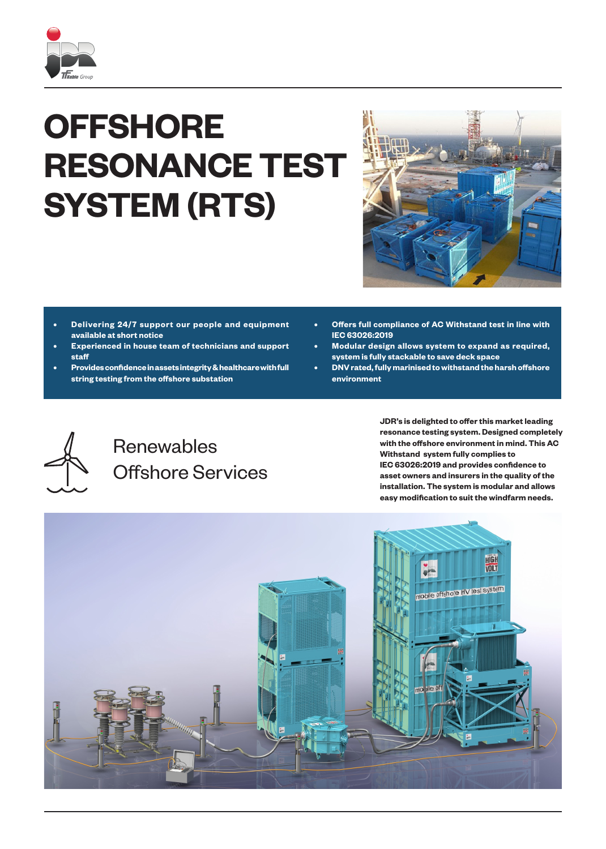

## **OFFSHORE RESONANCE TEST SYSTEM (RTS)**



- **• Delivering 24/7 support our people and equipment available at short notice**
- **• Experienced in house team of technicians and support staff**
- **• Provides confidence in assets integrity & healthcare with full string testing from the offshore substation**
- **• Offers full compliance of AC Withstand test in line with IEC 63026:2019**
- **• Modular design allows system to expand as required, system is fully stackable to save deck space**
- **• DNV rated, fully marinised to withstand the harsh offshore environment**



## Renewables Offshore Services

**JDR's is delighted to offer this market leading resonance testing system. Designed completely with the offshore environment in mind. This AC Withstand system fully complies to IEC 63026:2019 and provides confidence to asset owners and insurers in the quality of the installation. The system is modular and allows easy modification to suit the windfarm needs.**